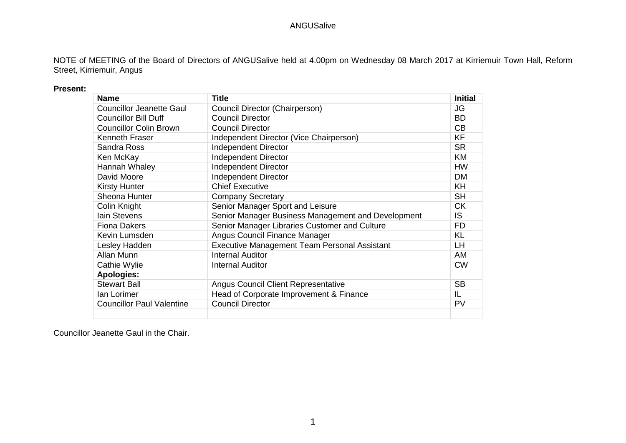NOTE of MEETING of the Board of Directors of ANGUSalive held at 4.00pm on Wednesday 08 March 2017 at Kirriemuir Town Hall, Reform Street, Kirriemuir, Angus

## **Present:**

| <b>Name</b>                      | <b>Title</b>                                        | <b>Initial</b> |
|----------------------------------|-----------------------------------------------------|----------------|
| <b>Councillor Jeanette Gaul</b>  | Council Director (Chairperson)                      | JG             |
| <b>Councillor Bill Duff</b>      | <b>Council Director</b>                             | <b>BD</b>      |
| <b>Councillor Colin Brown</b>    | <b>Council Director</b>                             | CB             |
| Kenneth Fraser                   | Independent Director (Vice Chairperson)             | <b>KF</b>      |
| Sandra Ross                      | <b>Independent Director</b>                         | <b>SR</b>      |
| Ken McKay                        | <b>Independent Director</b>                         | <b>KM</b>      |
| Hannah Whaley                    | <b>Independent Director</b>                         | <b>HW</b>      |
| David Moore                      | <b>Independent Director</b>                         | <b>DM</b>      |
| <b>Kirsty Hunter</b>             | <b>Chief Executive</b>                              | <b>KH</b>      |
| Sheona Hunter                    | <b>Company Secretary</b>                            | <b>SH</b>      |
| Colin Knight                     | Senior Manager Sport and Leisure                    | <b>CK</b>      |
| lain Stevens                     | Senior Manager Business Management and Development  | IS             |
| <b>Fiona Dakers</b>              | Senior Manager Libraries Customer and Culture       | <b>FD</b>      |
| Kevin Lumsden                    | Angus Council Finance Manager                       | <b>KL</b>      |
| Lesley Hadden                    | <b>Executive Management Team Personal Assistant</b> | <b>LH</b>      |
| Allan Munn                       | <b>Internal Auditor</b>                             | AM.            |
| Cathie Wylie                     | Internal Auditor                                    | <b>CW</b>      |
| <b>Apologies:</b>                |                                                     |                |
| <b>Stewart Ball</b>              | <b>Angus Council Client Representative</b>          | <b>SB</b>      |
| lan Lorimer                      | Head of Corporate Improvement & Finance             | IL             |
| <b>Councillor Paul Valentine</b> | <b>Council Director</b>                             | <b>PV</b>      |
|                                  |                                                     |                |

Councillor Jeanette Gaul in the Chair.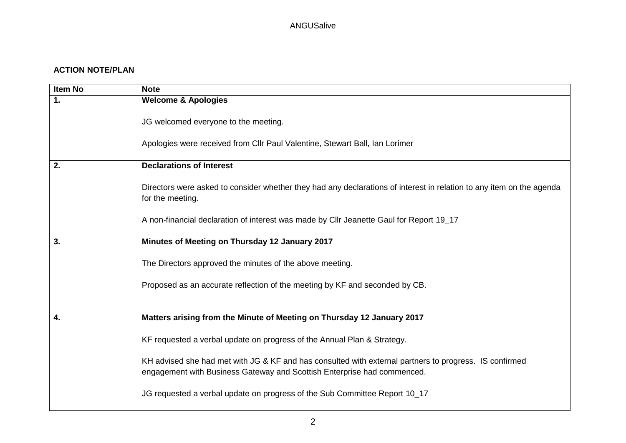# **ACTION NOTE/PLAN**

| <b>Item No</b>   | <b>Note</b>                                                                                                                                                                       |
|------------------|-----------------------------------------------------------------------------------------------------------------------------------------------------------------------------------|
| $\overline{1}$ . | <b>Welcome &amp; Apologies</b>                                                                                                                                                    |
|                  | JG welcomed everyone to the meeting.                                                                                                                                              |
|                  | Apologies were received from Cllr Paul Valentine, Stewart Ball, Ian Lorimer                                                                                                       |
| 2.               | <b>Declarations of Interest</b>                                                                                                                                                   |
|                  | Directors were asked to consider whether they had any declarations of interest in relation to any item on the agenda<br>for the meeting.                                          |
|                  | A non-financial declaration of interest was made by Cllr Jeanette Gaul for Report 19_17                                                                                           |
| 3.               | Minutes of Meeting on Thursday 12 January 2017                                                                                                                                    |
|                  | The Directors approved the minutes of the above meeting.                                                                                                                          |
|                  | Proposed as an accurate reflection of the meeting by KF and seconded by CB.                                                                                                       |
|                  |                                                                                                                                                                                   |
| 4.               | Matters arising from the Minute of Meeting on Thursday 12 January 2017                                                                                                            |
|                  | KF requested a verbal update on progress of the Annual Plan & Strategy.                                                                                                           |
|                  | KH advised she had met with JG & KF and has consulted with external partners to progress. IS confirmed<br>engagement with Business Gateway and Scottish Enterprise had commenced. |
|                  | JG requested a verbal update on progress of the Sub Committee Report 10_17                                                                                                        |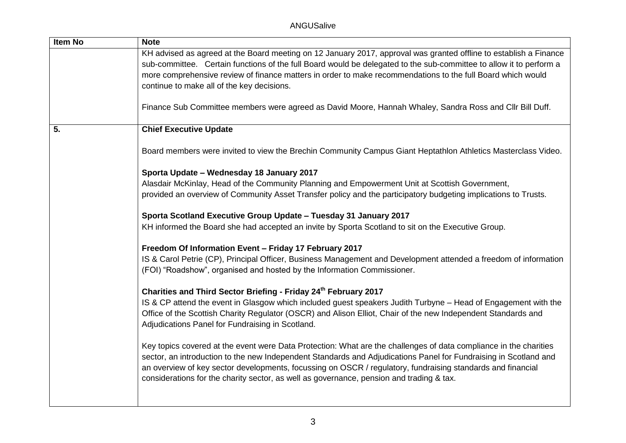| <b>Item No</b> | <b>Note</b>                                                                                                         |
|----------------|---------------------------------------------------------------------------------------------------------------------|
|                | KH advised as agreed at the Board meeting on 12 January 2017, approval was granted offline to establish a Finance   |
|                | sub-committee. Certain functions of the full Board would be delegated to the sub-committee to allow it to perform a |
|                | more comprehensive review of finance matters in order to make recommendations to the full Board which would         |
|                | continue to make all of the key decisions.                                                                          |
|                |                                                                                                                     |
|                | Finance Sub Committee members were agreed as David Moore, Hannah Whaley, Sandra Ross and Cllr Bill Duff.            |
|                |                                                                                                                     |
| 5.             | <b>Chief Executive Update</b>                                                                                       |
|                |                                                                                                                     |
|                | Board members were invited to view the Brechin Community Campus Giant Heptathlon Athletics Masterclass Video.       |
|                |                                                                                                                     |
|                | Sporta Update - Wednesday 18 January 2017                                                                           |
|                | Alasdair McKinlay, Head of the Community Planning and Empowerment Unit at Scottish Government,                      |
|                | provided an overview of Community Asset Transfer policy and the participatory budgeting implications to Trusts.     |
|                |                                                                                                                     |
|                | Sporta Scotland Executive Group Update - Tuesday 31 January 2017                                                    |
|                | KH informed the Board she had accepted an invite by Sporta Scotland to sit on the Executive Group.                  |
|                | Freedom Of Information Event - Friday 17 February 2017                                                              |
|                | IS & Carol Petrie (CP), Principal Officer, Business Management and Development attended a freedom of information    |
|                | (FOI) "Roadshow", organised and hosted by the Information Commissioner.                                             |
|                |                                                                                                                     |
|                | Charities and Third Sector Briefing - Friday 24 <sup>th</sup> February 2017                                         |
|                | IS & CP attend the event in Glasgow which included guest speakers Judith Turbyne - Head of Engagement with the      |
|                | Office of the Scottish Charity Regulator (OSCR) and Alison Elliot, Chair of the new Independent Standards and       |
|                | Adjudications Panel for Fundraising in Scotland.                                                                    |
|                |                                                                                                                     |
|                | Key topics covered at the event were Data Protection: What are the challenges of data compliance in the charities   |
|                | sector, an introduction to the new Independent Standards and Adjudications Panel for Fundraising in Scotland and    |
|                | an overview of key sector developments, focussing on OSCR / regulatory, fundraising standards and financial         |
|                | considerations for the charity sector, as well as governance, pension and trading & tax.                            |
|                |                                                                                                                     |
|                |                                                                                                                     |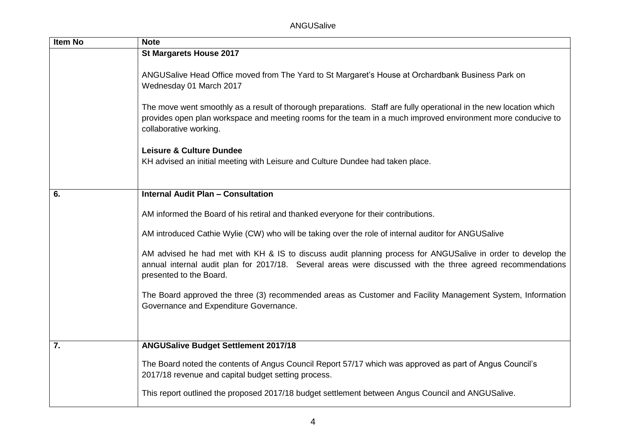| <b>Item No</b> | <b>Note</b>                                                                                                                                                                                                                                                  |
|----------------|--------------------------------------------------------------------------------------------------------------------------------------------------------------------------------------------------------------------------------------------------------------|
|                | <b>St Margarets House 2017</b>                                                                                                                                                                                                                               |
|                | ANGUSalive Head Office moved from The Yard to St Margaret's House at Orchardbank Business Park on<br>Wednesday 01 March 2017                                                                                                                                 |
|                | The move went smoothly as a result of thorough preparations. Staff are fully operational in the new location which<br>provides open plan workspace and meeting rooms for the team in a much improved environment more conducive to<br>collaborative working. |
|                | <b>Leisure &amp; Culture Dundee</b><br>KH advised an initial meeting with Leisure and Culture Dundee had taken place.                                                                                                                                        |
| 6.             | <b>Internal Audit Plan - Consultation</b>                                                                                                                                                                                                                    |
|                |                                                                                                                                                                                                                                                              |
|                | AM informed the Board of his retiral and thanked everyone for their contributions.                                                                                                                                                                           |
|                | AM introduced Cathie Wylie (CW) who will be taking over the role of internal auditor for ANGUSalive                                                                                                                                                          |
|                | AM advised he had met with KH & IS to discuss audit planning process for ANGUSalive in order to develop the<br>annual internal audit plan for 2017/18. Several areas were discussed with the three agreed recommendations<br>presented to the Board.         |
|                | The Board approved the three (3) recommended areas as Customer and Facility Management System, Information<br>Governance and Expenditure Governance.                                                                                                         |
|                |                                                                                                                                                                                                                                                              |
| 7.             | <b>ANGUSalive Budget Settlement 2017/18</b>                                                                                                                                                                                                                  |
|                | The Board noted the contents of Angus Council Report 57/17 which was approved as part of Angus Council's<br>2017/18 revenue and capital budget setting process.                                                                                              |
|                | This report outlined the proposed 2017/18 budget settlement between Angus Council and ANGUSalive.                                                                                                                                                            |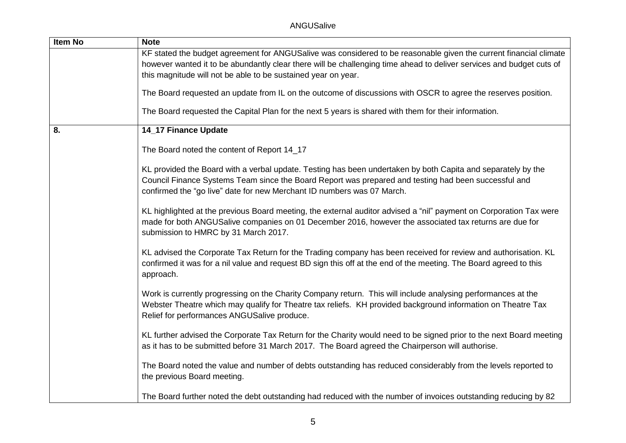| Item No | <b>Note</b>                                                                                                                                                                                                                                                                                    |
|---------|------------------------------------------------------------------------------------------------------------------------------------------------------------------------------------------------------------------------------------------------------------------------------------------------|
|         | KF stated the budget agreement for ANGUSalive was considered to be reasonable given the current financial climate<br>however wanted it to be abundantly clear there will be challenging time ahead to deliver services and budget cuts of                                                      |
|         | this magnitude will not be able to be sustained year on year.                                                                                                                                                                                                                                  |
|         | The Board requested an update from IL on the outcome of discussions with OSCR to agree the reserves position.                                                                                                                                                                                  |
|         | The Board requested the Capital Plan for the next 5 years is shared with them for their information.                                                                                                                                                                                           |
| 8.      | 14_17 Finance Update                                                                                                                                                                                                                                                                           |
|         | The Board noted the content of Report 14_17                                                                                                                                                                                                                                                    |
|         | KL provided the Board with a verbal update. Testing has been undertaken by both Capita and separately by the<br>Council Finance Systems Team since the Board Report was prepared and testing had been successful and<br>confirmed the "go live" date for new Merchant ID numbers was 07 March. |
|         | KL highlighted at the previous Board meeting, the external auditor advised a "nil" payment on Corporation Tax were<br>made for both ANGUSalive companies on 01 December 2016, however the associated tax returns are due for<br>submission to HMRC by 31 March 2017.                           |
|         | KL advised the Corporate Tax Return for the Trading company has been received for review and authorisation. KL<br>confirmed it was for a nil value and request BD sign this off at the end of the meeting. The Board agreed to this<br>approach.                                               |
|         | Work is currently progressing on the Charity Company return. This will include analysing performances at the<br>Webster Theatre which may qualify for Theatre tax reliefs. KH provided background information on Theatre Tax<br>Relief for performances ANGUSalive produce.                    |
|         | KL further advised the Corporate Tax Return for the Charity would need to be signed prior to the next Board meeting<br>as it has to be submitted before 31 March 2017. The Board agreed the Chairperson will authorise.                                                                        |
|         | The Board noted the value and number of debts outstanding has reduced considerably from the levels reported to<br>the previous Board meeting.                                                                                                                                                  |
|         | The Board further noted the debt outstanding had reduced with the number of invoices outstanding reducing by 82                                                                                                                                                                                |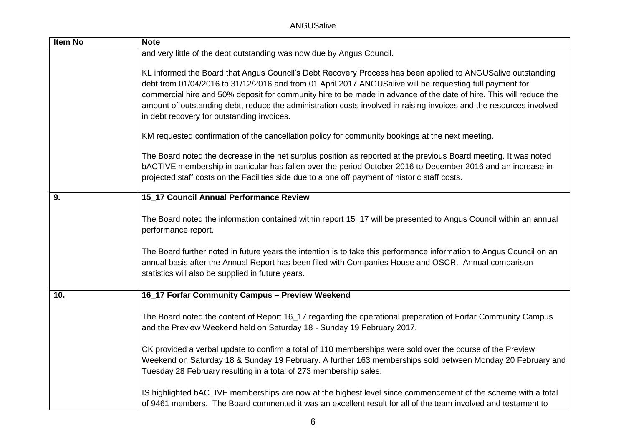ANGUSalive

| <b>Item No</b> | <b>Note</b>                                                                                                                                                                                                                                                                                                                                                                                                                                                                                                        |
|----------------|--------------------------------------------------------------------------------------------------------------------------------------------------------------------------------------------------------------------------------------------------------------------------------------------------------------------------------------------------------------------------------------------------------------------------------------------------------------------------------------------------------------------|
|                | and very little of the debt outstanding was now due by Angus Council.                                                                                                                                                                                                                                                                                                                                                                                                                                              |
|                | KL informed the Board that Angus Council's Debt Recovery Process has been applied to ANGUSalive outstanding<br>debt from 01/04/2016 to 31/12/2016 and from 01 April 2017 ANGUSalive will be requesting full payment for<br>commercial hire and 50% deposit for community hire to be made in advance of the date of hire. This will reduce the<br>amount of outstanding debt, reduce the administration costs involved in raising invoices and the resources involved<br>in debt recovery for outstanding invoices. |
|                | KM requested confirmation of the cancellation policy for community bookings at the next meeting.                                                                                                                                                                                                                                                                                                                                                                                                                   |
|                | The Board noted the decrease in the net surplus position as reported at the previous Board meeting. It was noted<br>bACTIVE membership in particular has fallen over the period October 2016 to December 2016 and an increase in<br>projected staff costs on the Facilities side due to a one off payment of historic staff costs.                                                                                                                                                                                 |
| 9.             | 15_17 Council Annual Performance Review                                                                                                                                                                                                                                                                                                                                                                                                                                                                            |
|                | The Board noted the information contained within report 15_17 will be presented to Angus Council within an annual<br>performance report.                                                                                                                                                                                                                                                                                                                                                                           |
|                | The Board further noted in future years the intention is to take this performance information to Angus Council on an<br>annual basis after the Annual Report has been filed with Companies House and OSCR. Annual comparison<br>statistics will also be supplied in future years.                                                                                                                                                                                                                                  |
| 10.            | 16_17 Forfar Community Campus - Preview Weekend                                                                                                                                                                                                                                                                                                                                                                                                                                                                    |
|                | The Board noted the content of Report 16_17 regarding the operational preparation of Forfar Community Campus<br>and the Preview Weekend held on Saturday 18 - Sunday 19 February 2017.                                                                                                                                                                                                                                                                                                                             |
|                | CK provided a verbal update to confirm a total of 110 memberships were sold over the course of the Preview<br>Weekend on Saturday 18 & Sunday 19 February. A further 163 memberships sold between Monday 20 February and<br>Tuesday 28 February resulting in a total of 273 membership sales.                                                                                                                                                                                                                      |
|                | IS highlighted bACTIVE memberships are now at the highest level since commencement of the scheme with a total<br>of 9461 members. The Board commented it was an excellent result for all of the team involved and testament to                                                                                                                                                                                                                                                                                     |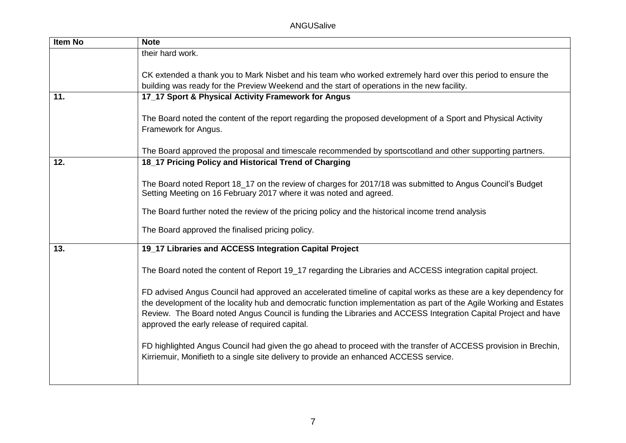| Item No | <b>Note</b>                                                                                                                                                                                                                                                                                                                                                                                                  |
|---------|--------------------------------------------------------------------------------------------------------------------------------------------------------------------------------------------------------------------------------------------------------------------------------------------------------------------------------------------------------------------------------------------------------------|
|         | their hard work.                                                                                                                                                                                                                                                                                                                                                                                             |
|         | CK extended a thank you to Mark Nisbet and his team who worked extremely hard over this period to ensure the<br>building was ready for the Preview Weekend and the start of operations in the new facility.                                                                                                                                                                                                  |
| 11.     | 17_17 Sport & Physical Activity Framework for Angus                                                                                                                                                                                                                                                                                                                                                          |
|         | The Board noted the content of the report regarding the proposed development of a Sport and Physical Activity<br>Framework for Angus.                                                                                                                                                                                                                                                                        |
|         | The Board approved the proposal and timescale recommended by sportscotland and other supporting partners.                                                                                                                                                                                                                                                                                                    |
| 12.     | 18_17 Pricing Policy and Historical Trend of Charging                                                                                                                                                                                                                                                                                                                                                        |
|         | The Board noted Report 18_17 on the review of charges for 2017/18 was submitted to Angus Council's Budget<br>Setting Meeting on 16 February 2017 where it was noted and agreed.                                                                                                                                                                                                                              |
|         | The Board further noted the review of the pricing policy and the historical income trend analysis                                                                                                                                                                                                                                                                                                            |
|         | The Board approved the finalised pricing policy.                                                                                                                                                                                                                                                                                                                                                             |
| 13.     | 19_17 Libraries and ACCESS Integration Capital Project                                                                                                                                                                                                                                                                                                                                                       |
|         | The Board noted the content of Report 19_17 regarding the Libraries and ACCESS integration capital project.                                                                                                                                                                                                                                                                                                  |
|         | FD advised Angus Council had approved an accelerated timeline of capital works as these are a key dependency for<br>the development of the locality hub and democratic function implementation as part of the Agile Working and Estates<br>Review. The Board noted Angus Council is funding the Libraries and ACCESS Integration Capital Project and have<br>approved the early release of required capital. |
|         | FD highlighted Angus Council had given the go ahead to proceed with the transfer of ACCESS provision in Brechin,<br>Kirriemuir, Monifieth to a single site delivery to provide an enhanced ACCESS service.                                                                                                                                                                                                   |
|         |                                                                                                                                                                                                                                                                                                                                                                                                              |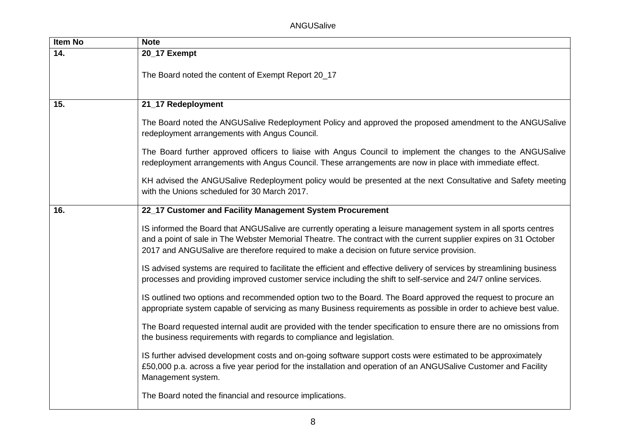ANGUSalive

| <b>Item No</b> | <b>Note</b>                                                                                                                                                                                                                                                                                                                        |
|----------------|------------------------------------------------------------------------------------------------------------------------------------------------------------------------------------------------------------------------------------------------------------------------------------------------------------------------------------|
| 14.            | 20_17 Exempt                                                                                                                                                                                                                                                                                                                       |
|                | The Board noted the content of Exempt Report 20_17                                                                                                                                                                                                                                                                                 |
| 15.            | 21_17 Redeployment                                                                                                                                                                                                                                                                                                                 |
|                | The Board noted the ANGUSalive Redeployment Policy and approved the proposed amendment to the ANGUSalive<br>redeployment arrangements with Angus Council.                                                                                                                                                                          |
|                | The Board further approved officers to liaise with Angus Council to implement the changes to the ANGUSalive<br>redeployment arrangements with Angus Council. These arrangements are now in place with immediate effect.                                                                                                            |
|                | KH advised the ANGUSalive Redeployment policy would be presented at the next Consultative and Safety meeting<br>with the Unions scheduled for 30 March 2017.                                                                                                                                                                       |
| 16.            | 22_17 Customer and Facility Management System Procurement                                                                                                                                                                                                                                                                          |
|                | IS informed the Board that ANGUSalive are currently operating a leisure management system in all sports centres<br>and a point of sale in The Webster Memorial Theatre. The contract with the current supplier expires on 31 October<br>2017 and ANGUSalive are therefore required to make a decision on future service provision. |
|                | IS advised systems are required to facilitate the efficient and effective delivery of services by streamlining business<br>processes and providing improved customer service including the shift to self-service and 24/7 online services.                                                                                         |
|                | IS outlined two options and recommended option two to the Board. The Board approved the request to procure an<br>appropriate system capable of servicing as many Business requirements as possible in order to achieve best value.                                                                                                 |
|                | The Board requested internal audit are provided with the tender specification to ensure there are no omissions from<br>the business requirements with regards to compliance and legislation.                                                                                                                                       |
|                | IS further advised development costs and on-going software support costs were estimated to be approximately<br>£50,000 p.a. across a five year period for the installation and operation of an ANGUSalive Customer and Facility<br>Management system.                                                                              |
|                | The Board noted the financial and resource implications.                                                                                                                                                                                                                                                                           |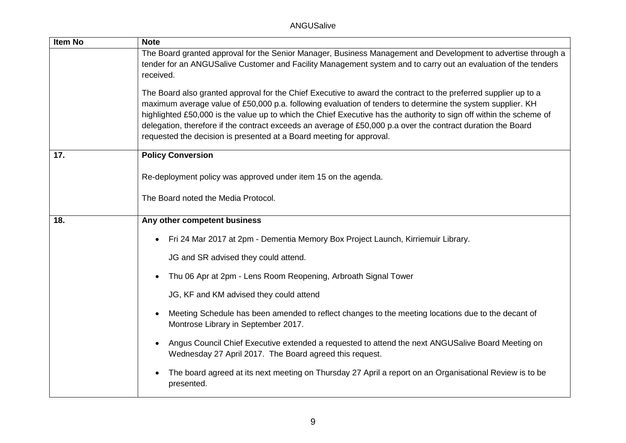| <b>Item No</b> | <b>Note</b>                                                                                                                                                                                                                                                                                                                                                                                                                                                                                                                                  |
|----------------|----------------------------------------------------------------------------------------------------------------------------------------------------------------------------------------------------------------------------------------------------------------------------------------------------------------------------------------------------------------------------------------------------------------------------------------------------------------------------------------------------------------------------------------------|
|                | The Board granted approval for the Senior Manager, Business Management and Development to advertise through a<br>tender for an ANGUSalive Customer and Facility Management system and to carry out an evaluation of the tenders                                                                                                                                                                                                                                                                                                              |
|                | received.                                                                                                                                                                                                                                                                                                                                                                                                                                                                                                                                    |
|                | The Board also granted approval for the Chief Executive to award the contract to the preferred supplier up to a<br>maximum average value of £50,000 p.a. following evaluation of tenders to determine the system supplier. KH<br>highlighted £50,000 is the value up to which the Chief Executive has the authority to sign off within the scheme of<br>delegation, therefore if the contract exceeds an average of £50,000 p.a over the contract duration the Board<br>requested the decision is presented at a Board meeting for approval. |
| 17.            | <b>Policy Conversion</b>                                                                                                                                                                                                                                                                                                                                                                                                                                                                                                                     |
|                | Re-deployment policy was approved under item 15 on the agenda.                                                                                                                                                                                                                                                                                                                                                                                                                                                                               |
|                | The Board noted the Media Protocol.                                                                                                                                                                                                                                                                                                                                                                                                                                                                                                          |
| 18.            | Any other competent business                                                                                                                                                                                                                                                                                                                                                                                                                                                                                                                 |
|                | Fri 24 Mar 2017 at 2pm - Dementia Memory Box Project Launch, Kirriemuir Library.<br>$\bullet$                                                                                                                                                                                                                                                                                                                                                                                                                                                |
|                | JG and SR advised they could attend.                                                                                                                                                                                                                                                                                                                                                                                                                                                                                                         |
|                | Thu 06 Apr at 2pm - Lens Room Reopening, Arbroath Signal Tower<br>$\bullet$                                                                                                                                                                                                                                                                                                                                                                                                                                                                  |
|                | JG, KF and KM advised they could attend                                                                                                                                                                                                                                                                                                                                                                                                                                                                                                      |
|                | Meeting Schedule has been amended to reflect changes to the meeting locations due to the decant of<br>$\bullet$<br>Montrose Library in September 2017.                                                                                                                                                                                                                                                                                                                                                                                       |
|                | Angus Council Chief Executive extended a requested to attend the next ANGUSalive Board Meeting on<br>$\bullet$<br>Wednesday 27 April 2017. The Board agreed this request.                                                                                                                                                                                                                                                                                                                                                                    |
|                | The board agreed at its next meeting on Thursday 27 April a report on an Organisational Review is to be<br>$\bullet$<br>presented.                                                                                                                                                                                                                                                                                                                                                                                                           |